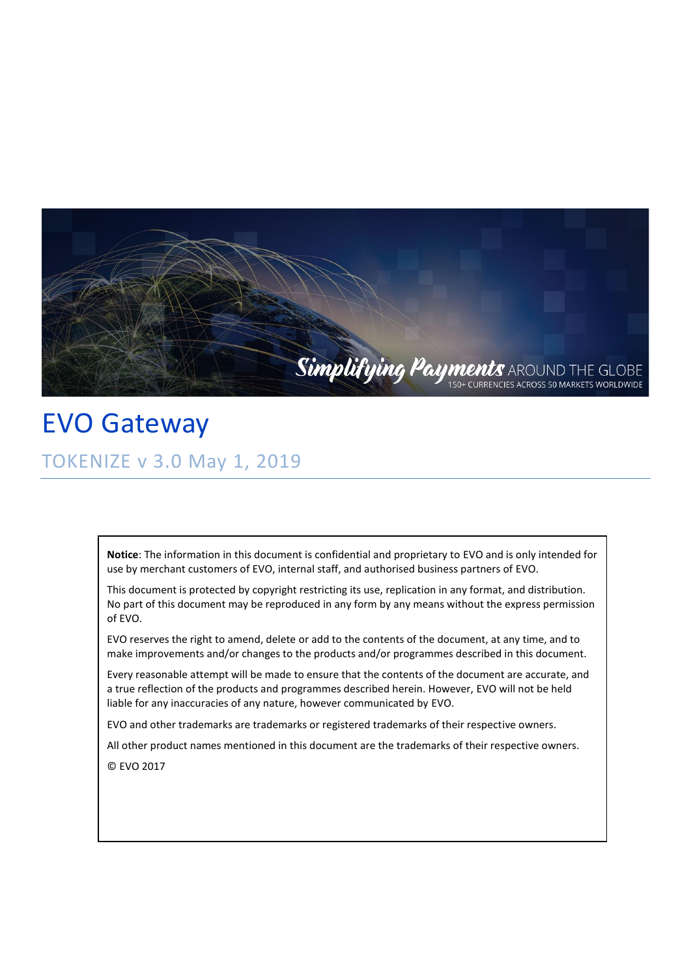

EVO Gateway TOKENIZE v 3.0 May 1, 2019

> **Notice**: The information in this document is confidential and proprietary to EVO and is only intended for use by merchant customers of EVO, internal staff, and authorised business partners of EVO.

> This document is protected by copyright restricting its use, replication in any format, and distribution. No part of this document may be reproduced in any form by any means without the express permission of EVO.

EVO reserves the right to amend, delete or add to the contents of the document, at any time, and to make improvements and/or changes to the products and/or programmes described in this document.

Every reasonable attempt will be made to ensure that the contents of the document are accurate, and a true reflection of the products and programmes described herein. However, EVO will not be held liable for any inaccuracies of any nature, however communicated by EVO.

EVO and other trademarks are trademarks or registered trademarks of their respective owners.

All other product names mentioned in this document are the trademarks of their respective owners.

© EVO 2017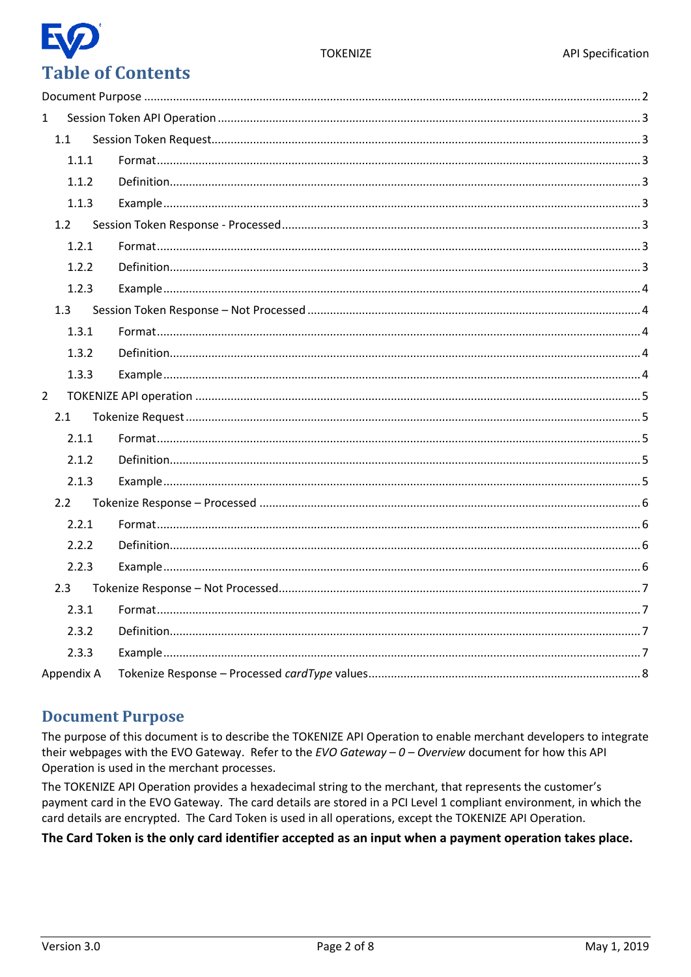#### **TOKENIZE**

# **Table of Contents**

| $\mathbf{1}$ |            |  |  |  |
|--------------|------------|--|--|--|
|              | 1.1        |  |  |  |
|              | 1.1.1      |  |  |  |
|              | 1.1.2      |  |  |  |
|              | 1.1.3      |  |  |  |
|              | 1.2        |  |  |  |
|              | 1.2.1      |  |  |  |
|              | 1.2.2      |  |  |  |
|              | 1.2.3      |  |  |  |
|              | 1.3        |  |  |  |
|              | 1.3.1      |  |  |  |
|              | 1.3.2      |  |  |  |
|              | 1.3.3      |  |  |  |
| $2^{\circ}$  |            |  |  |  |
|              | 2.1        |  |  |  |
|              | 2.1.1      |  |  |  |
|              | 2.1.2      |  |  |  |
|              | 2.1.3      |  |  |  |
|              | 2.2        |  |  |  |
|              | 2.2.1      |  |  |  |
|              | 2.2.2      |  |  |  |
|              | 2.2.3      |  |  |  |
|              | 2.3        |  |  |  |
|              | 2.3.1      |  |  |  |
|              | 2.3.2      |  |  |  |
|              | 2.3.3      |  |  |  |
|              | Appendix A |  |  |  |

#### <span id="page-1-0"></span>**Document Purpose**

The purpose of this document is to describe the TOKENIZE API Operation to enable merchant developers to integrate their webpages with the EVO Gateway. Refer to the EVO Gateway  $-0$  - Overview document for how this API Operation is used in the merchant processes.

The TOKENIZE API Operation provides a hexadecimal string to the merchant, that represents the customer's payment card in the EVO Gateway. The card details are stored in a PCI Level 1 compliant environment, in which the card details are encrypted. The Card Token is used in all operations, except the TOKENIZE API Operation.

#### The Card Token is the only card identifier accepted as an input when a payment operation takes place.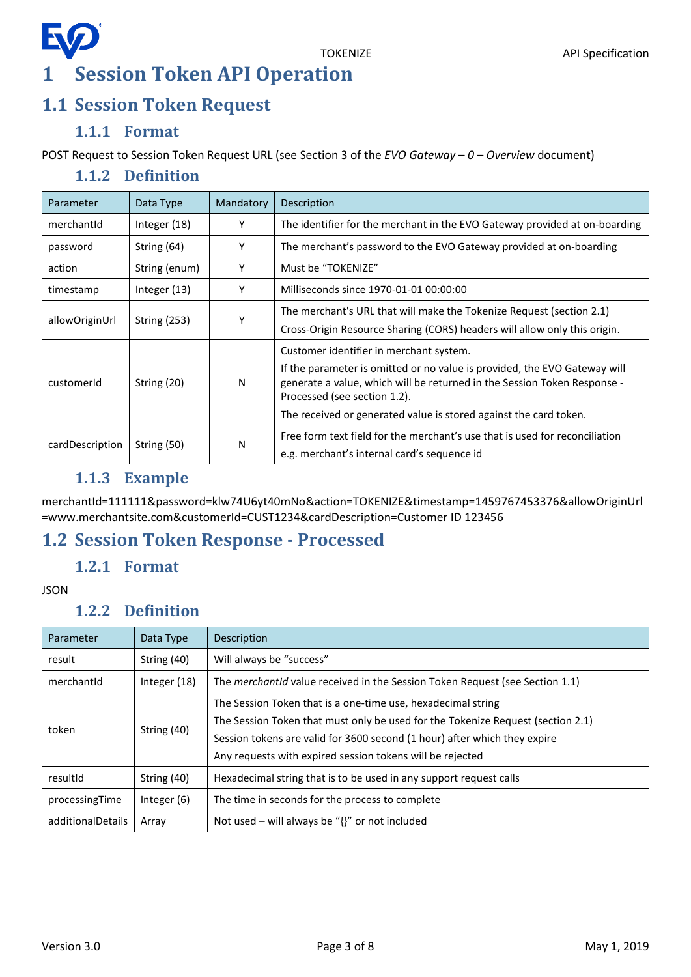# E **1 Session Token API Operation**

#### <span id="page-2-1"></span><span id="page-2-0"></span>**1.1 Session Token Request**

#### **1.1.1 Format**

<span id="page-2-3"></span><span id="page-2-2"></span>POST Request to Session Token Request URL (see Section 3 of the *EVO Gateway – 0 – Overview* document)

#### **1.1.2 Definition**

| Parameter       | Data Type      | Mandatory | Description                                                                                                                                                                           |
|-----------------|----------------|-----------|---------------------------------------------------------------------------------------------------------------------------------------------------------------------------------------|
| merchantId      | Integer (18)   | Υ         | The identifier for the merchant in the EVO Gateway provided at on-boarding                                                                                                            |
| password        | String (64)    | Υ         | The merchant's password to the EVO Gateway provided at on-boarding                                                                                                                    |
| action          | String (enum)  | Υ         | Must be "TOKENIZE"                                                                                                                                                                    |
| timestamp       | Integer $(13)$ | Υ         | Milliseconds since 1970-01-01 00:00:00                                                                                                                                                |
| allowOriginUrl  | String $(253)$ | Y         | The merchant's URL that will make the Tokenize Request (section 2.1)                                                                                                                  |
|                 |                |           | Cross-Origin Resource Sharing (CORS) headers will allow only this origin.                                                                                                             |
|                 | String (20)    | N         | Customer identifier in merchant system.                                                                                                                                               |
| customerId      |                |           | If the parameter is omitted or no value is provided, the EVO Gateway will<br>generate a value, which will be returned in the Session Token Response -<br>Processed (see section 1.2). |
|                 |                |           | The received or generated value is stored against the card token.                                                                                                                     |
| cardDescription | String (50)    | N         | Free form text field for the merchant's use that is used for reconciliation                                                                                                           |
|                 |                |           | e.g. merchant's internal card's sequence id                                                                                                                                           |

#### **1.1.3 Example**

<span id="page-2-4"></span>merchantId=111111&password=klw74U6yt40mNo&action=TOKENIZE&timestamp=1459767453376&allowOriginUrl =www.merchantsite.com&customerId=CUST1234&cardDescription=Customer ID 123456

#### <span id="page-2-6"></span><span id="page-2-5"></span>**1.2 Session Token Response - Processed**

#### **1.2.1 Format**

<span id="page-2-7"></span>JSON

#### **1.2.2 Definition**

| Parameter<br>Data Type |              | Description                                                                                                                                                                                                                                                                               |  |
|------------------------|--------------|-------------------------------------------------------------------------------------------------------------------------------------------------------------------------------------------------------------------------------------------------------------------------------------------|--|
| result                 | String (40)  | Will always be "success"                                                                                                                                                                                                                                                                  |  |
| merchantid             | Integer (18) | The <i>merchantid</i> value received in the Session Token Request (see Section 1.1)                                                                                                                                                                                                       |  |
| token                  | String (40)  | The Session Token that is a one-time use, hexadecimal string<br>The Session Token that must only be used for the Tokenize Request (section 2.1)<br>Session tokens are valid for 3600 second (1 hour) after which they expire<br>Any requests with expired session tokens will be rejected |  |
| resultId               | String (40)  | Hexadecimal string that is to be used in any support request calls                                                                                                                                                                                                                        |  |
| processingTime         | Integer (6)  | The time in seconds for the process to complete                                                                                                                                                                                                                                           |  |
| additionalDetails      | Array        | Not used – will always be " $\{$ " or not included                                                                                                                                                                                                                                        |  |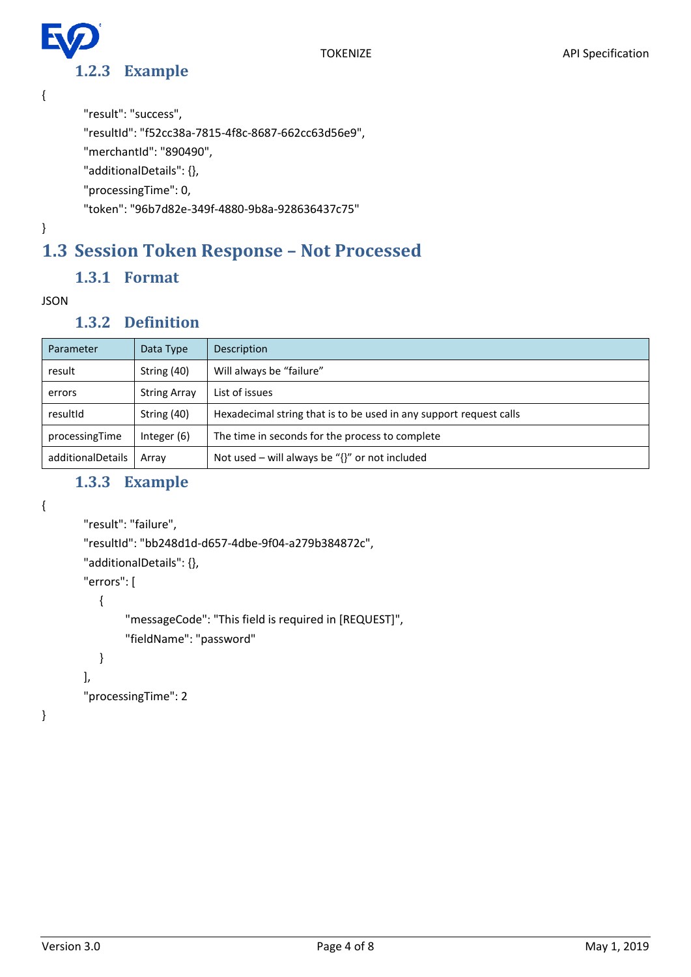**1.2.3 Example**

```
{
```

```
"result": "success",
```
"resultId": "f52cc38a-7815-4f8c-8687-662cc63d56e9",

"merchantId": "890490",

"additionalDetails": {},

"processingTime": 0,

"token": "96b7d82e-349f-4880-9b8a-928636437c75"

}

## <span id="page-3-1"></span>**1.3 Session Token Response – Not Processed**

#### **1.3.1 Format**

#### <span id="page-3-3"></span><span id="page-3-2"></span>JSON

#### **1.3.2 Definition**

| Parameter         | Data Type           | Description                                                        |
|-------------------|---------------------|--------------------------------------------------------------------|
| result            | String (40)         | Will always be "failure"                                           |
| errors            | <b>String Array</b> | List of issues                                                     |
| resultId          | String (40)         | Hexadecimal string that is to be used in any support request calls |
| processingTime    | Integer $(6)$       | The time in seconds for the process to complete                    |
| additionalDetails | Array               | Not used – will always be " $\{$ " or not included                 |

#### **1.3.3 Example**

<span id="page-3-4"></span>{

}

```
"result": "failure",
"resultId": "bb248d1d-d657-4dbe-9f04-a279b384872c",
"additionalDetails": {},
"errors": [
   {
        "messageCode": "This field is required in [REQUEST]",
        "fieldName": "password"
   }
],
"processingTime": 2
```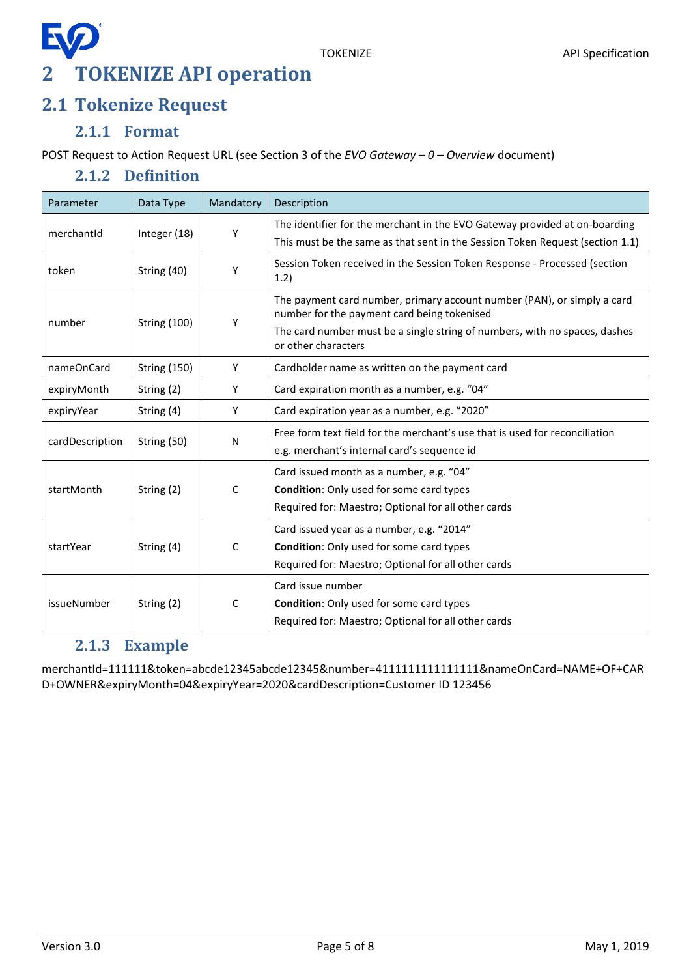### <span id="page-4-0"></span>**2 TOKENIZE API operation**

#### <span id="page-4-1"></span>**2.1 Tokenize Request**

#### **2.1.1 Format**

<span id="page-4-3"></span><span id="page-4-2"></span>POST Request to Action Request URL (see Section 3 of the *EVO Gateway – 0 – Overview* document)

#### **2.1.2 Definition**

| Parameter       | Data Type           | Mandatory    | Description                                                                                                            |
|-----------------|---------------------|--------------|------------------------------------------------------------------------------------------------------------------------|
| merchantId      | Integer (18)        | Υ            | The identifier for the merchant in the EVO Gateway provided at on-boarding                                             |
|                 |                     |              | This must be the same as that sent in the Session Token Request (section 1.1)                                          |
| token           | String (40)         | Y            | Session Token received in the Session Token Response - Processed (section<br>1.2)                                      |
| number          | <b>String (100)</b> | Υ            | The payment card number, primary account number (PAN), or simply a card<br>number for the payment card being tokenised |
|                 |                     |              | The card number must be a single string of numbers, with no spaces, dashes<br>or other characters                      |
| nameOnCard      | <b>String (150)</b> | Y            | Cardholder name as written on the payment card                                                                         |
| expiryMonth     | String (2)          | Y            | Card expiration month as a number, e.g. "04"                                                                           |
| expiryYear      | String (4)          | Y            | Card expiration year as a number, e.g. "2020"                                                                          |
| cardDescription | String (50)         | N            | Free form text field for the merchant's use that is used for reconciliation                                            |
|                 |                     |              | e.g. merchant's internal card's sequence id                                                                            |
|                 |                     |              | Card issued month as a number, e.g. "04"                                                                               |
| startMonth      | String (2)          | C            | <b>Condition:</b> Only used for some card types                                                                        |
|                 |                     |              | Required for: Maestro; Optional for all other cards                                                                    |
|                 |                     |              | Card issued year as a number, e.g. "2014"                                                                              |
| startYear       | String (4)          | $\mathsf{C}$ | <b>Condition:</b> Only used for some card types                                                                        |
|                 |                     |              | Required for: Maestro; Optional for all other cards                                                                    |
|                 | String (2)          | C            | Card issue number                                                                                                      |
| issueNumber     |                     |              | <b>Condition:</b> Only used for some card types                                                                        |
|                 |                     |              | Required for: Maestro; Optional for all other cards                                                                    |

#### **2.1.3 Example**

<span id="page-4-4"></span>merchantId=111111&token=abcde12345abcde12345&number=4111111111111111&nameOnCard=NAME+OF+CAR D+OWNER&expiryMonth=04&expiryYear=2020&cardDescription=Customer ID 123456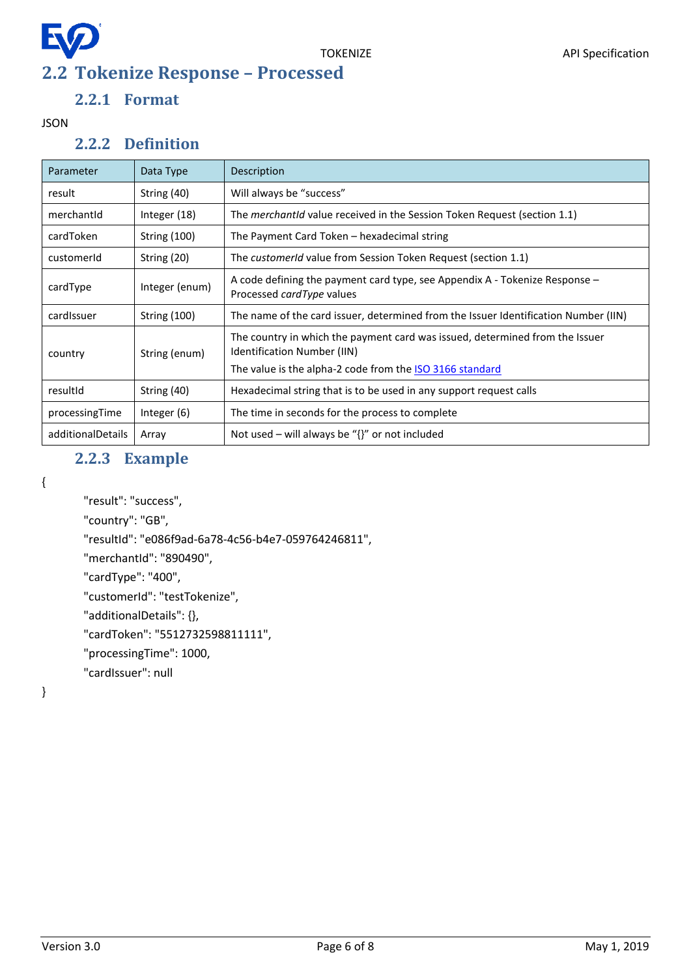<span id="page-5-0"></span>

#### **2.2.1 Format**

<span id="page-5-2"></span><span id="page-5-1"></span>JSON

#### **2.2.2 Definition**

| Parameter         | Data Type           | Description                                                                                                                                                             |  |
|-------------------|---------------------|-------------------------------------------------------------------------------------------------------------------------------------------------------------------------|--|
| result            | String (40)         | Will always be "success"                                                                                                                                                |  |
| merchantid        | Integer (18)        | The <i>merchantid</i> value received in the Session Token Request (section 1.1)                                                                                         |  |
| cardToken         | <b>String (100)</b> | The Payment Card Token – hexadecimal string                                                                                                                             |  |
| customerId        | String (20)         | The customerId value from Session Token Request (section 1.1)                                                                                                           |  |
| cardType          | Integer (enum)      | A code defining the payment card type, see Appendix A - Tokenize Response -<br>Processed cardType values                                                                |  |
| cardIssuer        | <b>String (100)</b> | The name of the card issuer, determined from the Issuer Identification Number (IIN)                                                                                     |  |
| country           | String (enum)       | The country in which the payment card was issued, determined from the Issuer<br>Identification Number (IIN)<br>The value is the alpha-2 code from the ISO 3166 standard |  |
| resultId          | String (40)         | Hexadecimal string that is to be used in any support request calls                                                                                                      |  |
| processingTime    | Integer (6)         | The time in seconds for the process to complete                                                                                                                         |  |
| additionalDetails | Array               | Not used – will always be " $\{$ " or not included                                                                                                                      |  |

#### **2.2.3 Example**

<span id="page-5-3"></span>{

```
"result": "success",
```
"country": "GB",

"resultId": "e086f9ad-6a78-4c56-b4e7-059764246811",

"merchantId": "890490",

"cardType": "400",

"customerId": "testTokenize",

"additionalDetails": {},

"cardToken": "5512732598811111",

"processingTime": 1000,

"cardIssuer": null

}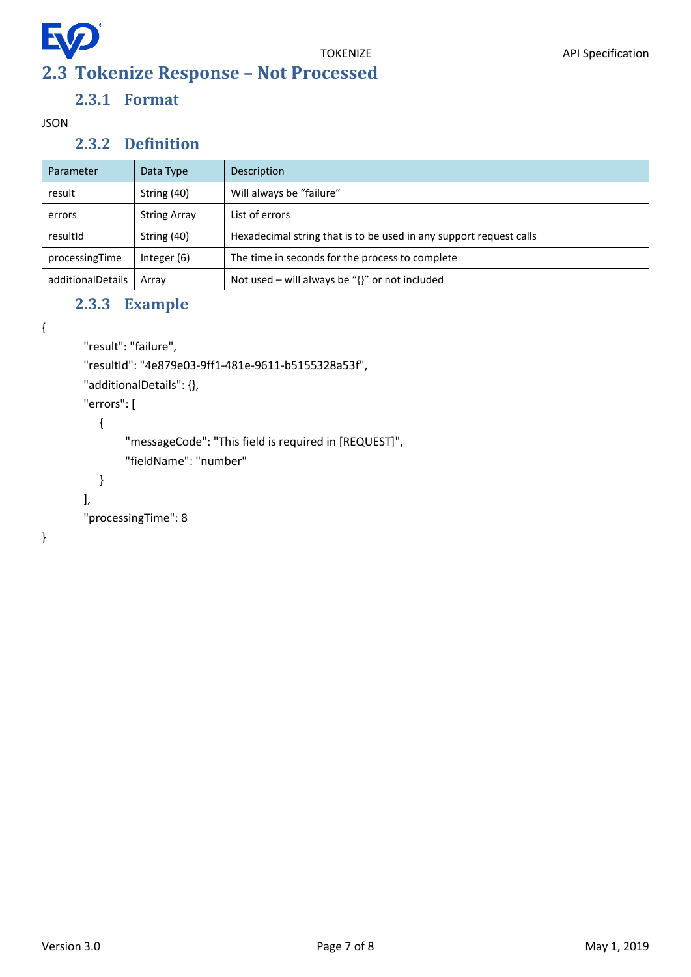<span id="page-6-0"></span>

#### **2.3.1 Format**

<span id="page-6-2"></span><span id="page-6-1"></span>JSON

#### **2.3.2 Definition**

| Parameter         | Data Type           | Description                                                        |
|-------------------|---------------------|--------------------------------------------------------------------|
| result            | String (40)         | Will always be "failure"                                           |
| errors            | <b>String Array</b> | List of errors                                                     |
| resultId          | String (40)         | Hexadecimal string that is to be used in any support request calls |
| processingTime    | Integer $(6)$       | The time in seconds for the process to complete                    |
| additionalDetails | Array               | Not used – will always be " $\{$ " or not included                 |

#### **2.3.3 Example**

```
{
```

```
"result": "failure",
```
"resultId": "4e879e03-9ff1-481e-9611-b5155328a53f",

"additionalDetails": {},

"errors": [

{

```
"messageCode": "This field is required in [REQUEST]",
"fieldName": "number"
```

```
}
```
],

```
"processingTime": 8
```
}